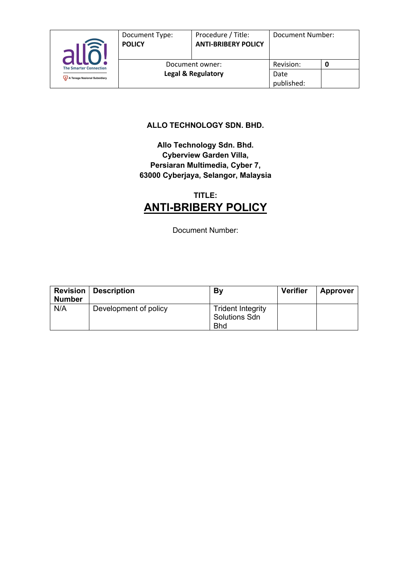

published:

#### **ALLO TECHNOLOGY SDN. BHD.**

#### **Allo Technology Sdn. Bhd. Cyberview Garden Villa, Persiaran Multimedia, Cyber 7, 63000 Cyberjaya, Selangor, Malaysia**

## **TITLE: ANTI-BRIBERY POLICY**

Document Number:

| <b>Revision</b><br><b>Number</b> | <b>Description</b>    | By                                                             | <b>Verifier</b> | <b>Approver</b> |
|----------------------------------|-----------------------|----------------------------------------------------------------|-----------------|-----------------|
| N/A                              | Development of policy | <b>Trident Integrity</b><br><b>Solutions Sdn</b><br><b>Bhd</b> |                 |                 |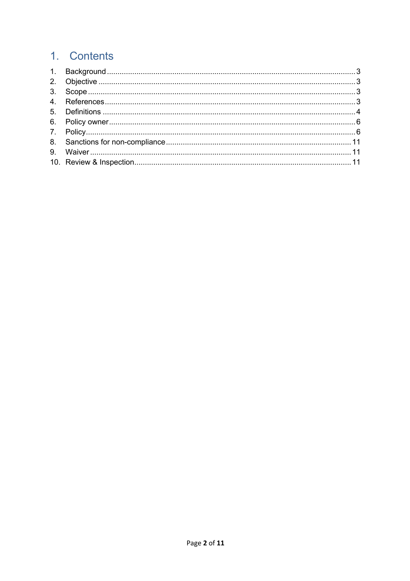# 1. Contents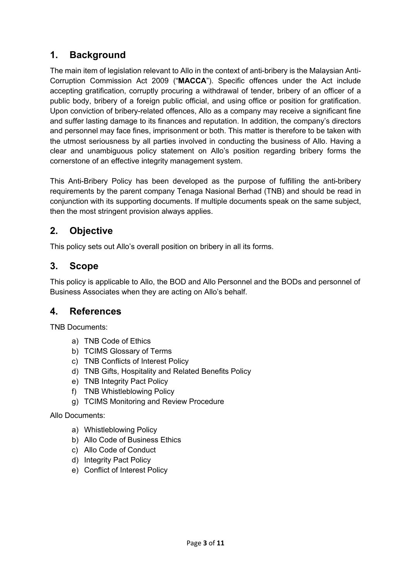## **1. Background**

The main item of legislation relevant to Allo in the context of anti-bribery is the Malaysian Anti-Corruption Commission Act 2009 ("**MACCA**"). Specific offences under the Act include accepting gratification, corruptly procuring a withdrawal of tender, bribery of an officer of a public body, bribery of a foreign public official, and using office or position for gratification. Upon conviction of bribery-related offences, Allo as a company may receive a significant fine and suffer lasting damage to its finances and reputation. In addition, the company's directors and personnel may face fines, imprisonment or both. This matter is therefore to be taken with the utmost seriousness by all parties involved in conducting the business of Allo. Having a clear and unambiguous policy statement on Allo's position regarding bribery forms the cornerstone of an effective integrity management system.

This Anti-Bribery Policy has been developed as the purpose of fulfilling the anti-bribery requirements by the parent company Tenaga Nasional Berhad (TNB) and should be read in conjunction with its supporting documents. If multiple documents speak on the same subject, then the most stringent provision always applies.

## **2. Objective**

This policy sets out Allo's overall position on bribery in all its forms.

## **3. Scope**

This policy is applicable to Allo, the BOD and Allo Personnel and the BODs and personnel of Business Associates when they are acting on Allo's behalf.

## **4. References**

TNB Documents:

- a) TNB Code of Ethics
- b) TCIMS Glossary of Terms
- c) TNB Conflicts of Interest Policy
- d) TNB Gifts, Hospitality and Related Benefits Policy
- e) TNB Integrity Pact Policy
- f) TNB Whistleblowing Policy
- g) TCIMS Monitoring and Review Procedure

Allo Documents:

- a) Whistleblowing Policy
- b) Allo Code of Business Ethics
- c) Allo Code of Conduct
- d) Integrity Pact Policy
- e) Conflict of Interest Policy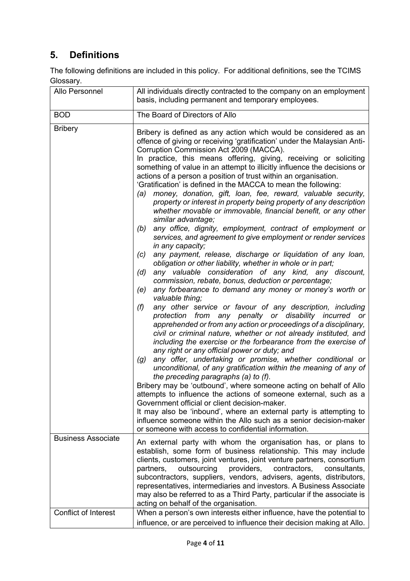## **5. Definitions**

The following definitions are included in this policy. For additional definitions, see the TCIMS Glossary.

| Allo Personnel                              | All individuals directly contracted to the company on an employment<br>basis, including permanent and temporary employees.                                                                                                                                                                                                                                                                                                                                                                                                                                                                                                                                                                                                                                                                                                                                                                                                                                                                                                                                                                                                                                                                                                                                                                                                                                                                                                                                                                                                                                                                                                                                                                                                                                                                                                                                                                                                                                                                                                                                                                                                                                                                                                                                                                                                                                                                                                                                                                                                                                                                                                            |
|---------------------------------------------|---------------------------------------------------------------------------------------------------------------------------------------------------------------------------------------------------------------------------------------------------------------------------------------------------------------------------------------------------------------------------------------------------------------------------------------------------------------------------------------------------------------------------------------------------------------------------------------------------------------------------------------------------------------------------------------------------------------------------------------------------------------------------------------------------------------------------------------------------------------------------------------------------------------------------------------------------------------------------------------------------------------------------------------------------------------------------------------------------------------------------------------------------------------------------------------------------------------------------------------------------------------------------------------------------------------------------------------------------------------------------------------------------------------------------------------------------------------------------------------------------------------------------------------------------------------------------------------------------------------------------------------------------------------------------------------------------------------------------------------------------------------------------------------------------------------------------------------------------------------------------------------------------------------------------------------------------------------------------------------------------------------------------------------------------------------------------------------------------------------------------------------------------------------------------------------------------------------------------------------------------------------------------------------------------------------------------------------------------------------------------------------------------------------------------------------------------------------------------------------------------------------------------------------------------------------------------------------------------------------------------------------|
| <b>BOD</b>                                  | The Board of Directors of Allo                                                                                                                                                                                                                                                                                                                                                                                                                                                                                                                                                                                                                                                                                                                                                                                                                                                                                                                                                                                                                                                                                                                                                                                                                                                                                                                                                                                                                                                                                                                                                                                                                                                                                                                                                                                                                                                                                                                                                                                                                                                                                                                                                                                                                                                                                                                                                                                                                                                                                                                                                                                                        |
| <b>Bribery</b><br><b>Business Associate</b> | Bribery is defined as any action which would be considered as an<br>offence of giving or receiving 'gratification' under the Malaysian Anti-<br>Corruption Commission Act 2009 (MACCA).<br>In practice, this means offering, giving, receiving or soliciting<br>something of value in an attempt to illicitly influence the decisions or<br>actions of a person a position of trust within an organisation.<br>'Gratification' is defined in the MACCA to mean the following:<br>money, donation, gift, loan, fee, reward, valuable security,<br>(a)<br>property or interest in property being property of any description<br>whether movable or immovable, financial benefit, or any other<br>similar advantage;<br>any office, dignity, employment, contract of employment or<br>(b)<br>services, and agreement to give employment or render services<br>in any capacity;<br>any payment, release, discharge or liquidation of any loan,<br>(c)<br>obligation or other liability, whether in whole or in part;<br>any valuable consideration of any kind, any discount,<br>(d)<br>commission, rebate, bonus, deduction or percentage;<br>any forbearance to demand any money or money's worth or<br>(e)<br>valuable thing;<br>any other service or favour of any description, including<br>(f)<br>protection from any penalty or disability incurred or<br>apprehended or from any action or proceedings of a disciplinary,<br>civil or criminal nature, whether or not already instituted, and<br>including the exercise or the forbearance from the exercise of<br>any right or any official power or duty; and<br>any offer, undertaking or promise, whether conditional or<br>(g)<br>unconditional, of any gratification within the meaning of any of<br>the preceding paragraphs (a) to (f).<br>Bribery may be 'outbound', where someone acting on behalf of Allo<br>attempts to influence the actions of someone external, such as a<br>Government official or client decision-maker.<br>It may also be 'inbound', where an external party is attempting to<br>influence someone within the Allo such as a senior decision-maker<br>or someone with access to confidential information.<br>An external party with whom the organisation has, or plans to<br>establish, some form of business relationship. This may include<br>clients, customers, joint ventures, joint venture partners, consortium<br>providers,<br>partners,<br>outsourcing<br>contractors,<br>consultants,<br>subcontractors, suppliers, vendors, advisers, agents, distributors,<br>representatives, intermediaries and investors. A Business Associate |
|                                             | may also be referred to as a Third Party, particular if the associate is<br>acting on behalf of the organisation.                                                                                                                                                                                                                                                                                                                                                                                                                                                                                                                                                                                                                                                                                                                                                                                                                                                                                                                                                                                                                                                                                                                                                                                                                                                                                                                                                                                                                                                                                                                                                                                                                                                                                                                                                                                                                                                                                                                                                                                                                                                                                                                                                                                                                                                                                                                                                                                                                                                                                                                     |
| <b>Conflict of Interest</b>                 | When a person's own interests either influence, have the potential to                                                                                                                                                                                                                                                                                                                                                                                                                                                                                                                                                                                                                                                                                                                                                                                                                                                                                                                                                                                                                                                                                                                                                                                                                                                                                                                                                                                                                                                                                                                                                                                                                                                                                                                                                                                                                                                                                                                                                                                                                                                                                                                                                                                                                                                                                                                                                                                                                                                                                                                                                                 |
|                                             | influence, or are perceived to influence their decision making at Allo.                                                                                                                                                                                                                                                                                                                                                                                                                                                                                                                                                                                                                                                                                                                                                                                                                                                                                                                                                                                                                                                                                                                                                                                                                                                                                                                                                                                                                                                                                                                                                                                                                                                                                                                                                                                                                                                                                                                                                                                                                                                                                                                                                                                                                                                                                                                                                                                                                                                                                                                                                               |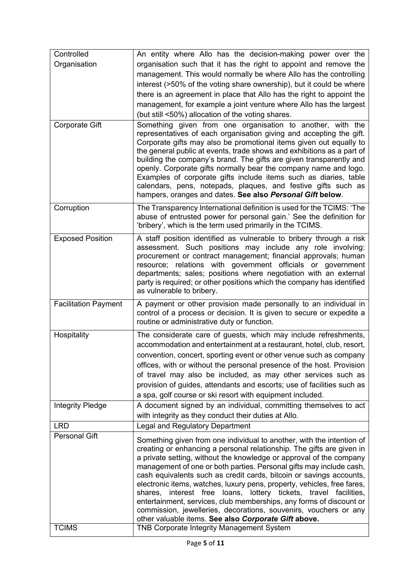| Controlled                  | An entity where Allo has the decision-making power over the                                                                                                                                                                                                                                                                                                                                                                                                                                                                                                                                                                                                         |
|-----------------------------|---------------------------------------------------------------------------------------------------------------------------------------------------------------------------------------------------------------------------------------------------------------------------------------------------------------------------------------------------------------------------------------------------------------------------------------------------------------------------------------------------------------------------------------------------------------------------------------------------------------------------------------------------------------------|
| Organisation                | organisation such that it has the right to appoint and remove the                                                                                                                                                                                                                                                                                                                                                                                                                                                                                                                                                                                                   |
|                             | management. This would normally be where Allo has the controlling                                                                                                                                                                                                                                                                                                                                                                                                                                                                                                                                                                                                   |
|                             | interest (>50% of the voting share ownership), but it could be where                                                                                                                                                                                                                                                                                                                                                                                                                                                                                                                                                                                                |
|                             | there is an agreement in place that Allo has the right to appoint the                                                                                                                                                                                                                                                                                                                                                                                                                                                                                                                                                                                               |
|                             | management, for example a joint venture where Allo has the largest                                                                                                                                                                                                                                                                                                                                                                                                                                                                                                                                                                                                  |
|                             | (but still <50%) allocation of the voting shares.                                                                                                                                                                                                                                                                                                                                                                                                                                                                                                                                                                                                                   |
| <b>Corporate Gift</b>       | Something given from one organisation to another, with the<br>representatives of each organisation giving and accepting the gift.<br>Corporate gifts may also be promotional items given out equally to<br>the general public at events, trade shows and exhibitions as a part of<br>building the company's brand. The gifts are given transparently and<br>openly. Corporate gifts normally bear the company name and logo.                                                                                                                                                                                                                                        |
|                             | Examples of corporate gifts include items such as diaries, table<br>calendars, pens, notepads, plaques, and festive gifts such as<br>hampers, oranges and dates. See also Personal Gift below.                                                                                                                                                                                                                                                                                                                                                                                                                                                                      |
| Corruption                  | The Transparency International definition is used for the TCIMS: 'The<br>abuse of entrusted power for personal gain.' See the definition for<br>'bribery', which is the term used primarily in the TCIMS.                                                                                                                                                                                                                                                                                                                                                                                                                                                           |
| <b>Exposed Position</b>     | A staff position identified as vulnerable to bribery through a risk<br>assessment. Such positions may include any role involving:<br>procurement or contract management; financial approvals; human<br>resource; relations with government officials or government<br>departments; sales; positions where negotiation with an external<br>party is required; or other positions which the company has identified<br>as vulnerable to bribery.                                                                                                                                                                                                                       |
| <b>Facilitation Payment</b> | A payment or other provision made personally to an individual in<br>control of a process or decision. It is given to secure or expedite a<br>routine or administrative duty or function.                                                                                                                                                                                                                                                                                                                                                                                                                                                                            |
| Hospitality                 | The considerate care of guests, which may include refreshments,<br>accommodation and entertainment at a restaurant, hotel, club, resort,<br>convention, concert, sporting event or other venue such as company<br>offices, with or without the personal presence of the host. Provision<br>of travel may also be included, as may other services such as<br>provision of guides, attendants and escorts; use of facilities such as<br>a spa, golf course or ski resort with equipment included.                                                                                                                                                                     |
| <b>Integrity Pledge</b>     | A document signed by an individual, committing themselves to act<br>with integrity as they conduct their duties at Allo.                                                                                                                                                                                                                                                                                                                                                                                                                                                                                                                                            |
| <b>LRD</b>                  | <b>Legal and Regulatory Department</b>                                                                                                                                                                                                                                                                                                                                                                                                                                                                                                                                                                                                                              |
| <b>Personal Gift</b>        | Something given from one individual to another, with the intention of<br>creating or enhancing a personal relationship. The gifts are given in<br>a private setting, without the knowledge or approval of the company<br>management of one or both parties. Personal gifts may include cash,<br>cash equivalents such as credit cards, bitcoin or savings accounts,<br>electronic items, watches, luxury pens, property, vehicles, free fares,<br>loans, lottery tickets, travel facilities,<br>shares,<br>interest free<br>entertainment, services, club memberships, any forms of discount or<br>commission, jewelleries, decorations, souvenirs, vouchers or any |
| <b>TCIMS</b>                | other valuable items. See also Corporate Gift above.<br><b>TNB Corporate Integrity Management System</b>                                                                                                                                                                                                                                                                                                                                                                                                                                                                                                                                                            |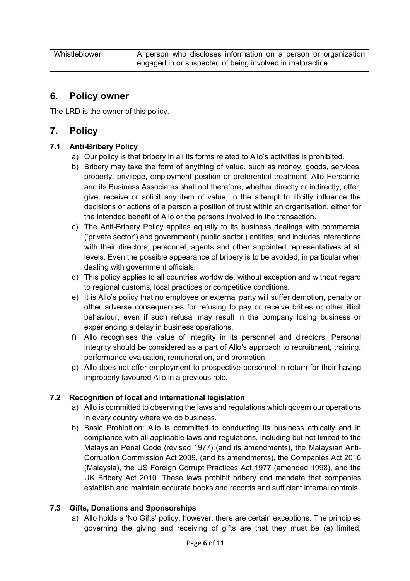Whistleblower  $\vert A \rangle$  person who discloses information on a person or organization engaged in or suspected of being involved in malpractice.

### **6. Policy owner**

The LRD is the owner of this policy.

## **7. Policy**

#### **7.1 Anti-Bribery Policy**

- a) Our policy is that bribery in all its forms related to Allo's activities is prohibited.
- b) Bribery may take the form of anything of value, such as money, goods, services, property, privilege, employment position or preferential treatment. Allo Personnel and its Business Associates shall not therefore, whether directly or indirectly, offer, give, receive or solicit any item of value, in the attempt to illicitly influence the decisions or actions of a person a position of trust within an organisation, either for the intended benefit of Allo or the persons involved in the transaction.
- c) The Anti-Bribery Policy applies equally to its business dealings with commercial ('private sector') and government ('public sector') entities, and includes interactions with their directors, personnel, agents and other appointed representatives at all levels. Even the possible appearance of bribery is to be avoided, in particular when dealing with government officials.
- d) This policy applies to all countries worldwide, without exception and without regard to regional customs, local practices or competitive conditions.
- e) It is Allo's policy that no employee or external party will suffer demotion, penalty or other adverse consequences for refusing to pay or receive bribes or other illicit behaviour, even if such refusal may result in the company losing business or experiencing a delay in business operations.
- f) Allo recognises the value of integrity in its personnel and directors. Personal integrity should be considered as a part of Allo's approach to recruitment, training, performance evaluation, remuneration, and promotion.
- g) Allo does not offer employment to prospective personnel in return for their having improperly favoured Allo in a previous role.

#### **7.2 Recognition of local and international legislation**

- a) Allo is committed to observing the laws and regulations which govern our operations in every country where we do business.
- b) Basic Prohibition: Allo is committed to conducting its business ethically and in compliance with all applicable laws and regulations, including but not limited to the Malaysian Penal Code (revised 1977) (and its amendments), the Malaysian Anti-Corruption Commission Act 2009, (and its amendments), the Companies Act 2016 (Malaysia), the US Foreign Corrupt Practices Act 1977 (amended 1998), and the UK Bribery Act 2010. These laws prohibit bribery and mandate that companies establish and maintain accurate books and records and sufficient internal controls.

#### **7.3 Gifts, Donations and Sponsorships**

a) Allo holds a 'No Gifts' policy, however, there are certain exceptions. The principles governing the giving and receiving of gifts are that they must be (a) limited,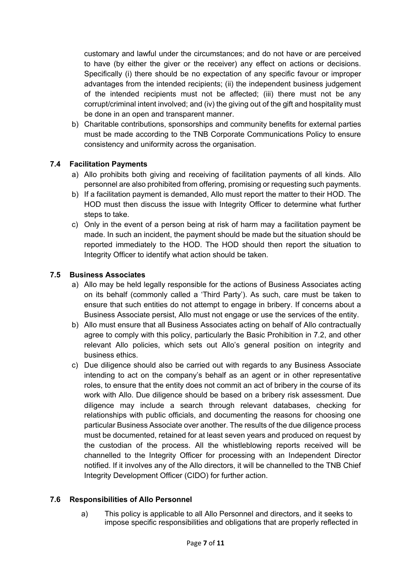customary and lawful under the circumstances; and do not have or are perceived to have (by either the giver or the receiver) any effect on actions or decisions. Specifically (i) there should be no expectation of any specific favour or improper advantages from the intended recipients; (ii) the independent business judgement of the intended recipients must not be affected; (iii) there must not be any corrupt/criminal intent involved; and (iv) the giving out of the gift and hospitality must be done in an open and transparent manner.

b) Charitable contributions, sponsorships and community benefits for external parties must be made according to the TNB Corporate Communications Policy to ensure consistency and uniformity across the organisation.

#### **7.4 Facilitation Payments**

- a) Allo prohibits both giving and receiving of facilitation payments of all kinds. Allo personnel are also prohibited from offering, promising or requesting such payments.
- b) If a facilitation payment is demanded, Allo must report the matter to their HOD. The HOD must then discuss the issue with Integrity Officer to determine what further steps to take.
- c) Only in the event of a person being at risk of harm may a facilitation payment be made. In such an incident, the payment should be made but the situation should be reported immediately to the HOD. The HOD should then report the situation to Integrity Officer to identify what action should be taken.

#### **7.5 Business Associates**

- a) Allo may be held legally responsible for the actions of Business Associates acting on its behalf (commonly called a 'Third Party'). As such, care must be taken to ensure that such entities do not attempt to engage in bribery. If concerns about a Business Associate persist, Allo must not engage or use the services of the entity.
- b) Allo must ensure that all Business Associates acting on behalf of Allo contractually agree to comply with this policy, particularly the Basic Prohibition in 7.2, and other relevant Allo policies, which sets out Allo's general position on integrity and business ethics.
- c) Due diligence should also be carried out with regards to any Business Associate intending to act on the company's behalf as an agent or in other representative roles, to ensure that the entity does not commit an act of bribery in the course of its work with Allo. Due diligence should be based on a bribery risk assessment. Due diligence may include a search through relevant databases, checking for relationships with public officials, and documenting the reasons for choosing one particular Business Associate over another. The results of the due diligence process must be documented, retained for at least seven years and produced on request by the custodian of the process. All the whistleblowing reports received will be channelled to the Integrity Officer for processing with an Independent Director notified. If it involves any of the Allo directors, it will be channelled to the TNB Chief Integrity Development Officer (CIDO) for further action.

#### **7.6 Responsibilities of Allo Personnel**

a) This policy is applicable to all Allo Personnel and directors, and it seeks to impose specific responsibilities and obligations that are properly reflected in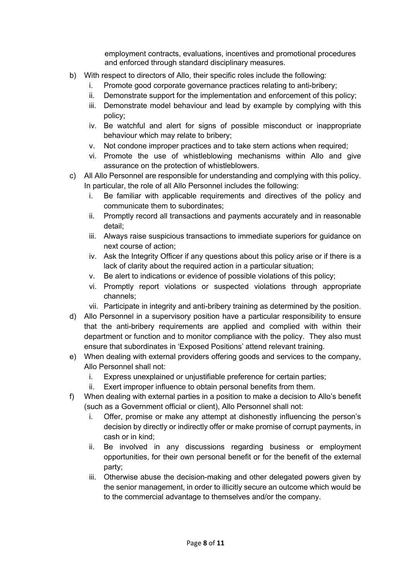employment contracts, evaluations, incentives and promotional procedures and enforced through standard disciplinary measures.

- b) With respect to directors of Allo, their specific roles include the following:
	- i. Promote good corporate governance practices relating to anti-bribery;
	- ii. Demonstrate support for the implementation and enforcement of this policy;
	- iii. Demonstrate model behaviour and lead by example by complying with this policy;
	- iv. Be watchful and alert for signs of possible misconduct or inappropriate behaviour which may relate to bribery;
	- v. Not condone improper practices and to take stern actions when required;
	- vi. Promote the use of whistleblowing mechanisms within Allo and give assurance on the protection of whistleblowers.
- c) All Allo Personnel are responsible for understanding and complying with this policy. In particular, the role of all Allo Personnel includes the following:
	- i. Be familiar with applicable requirements and directives of the policy and communicate them to subordinates;
	- ii. Promptly record all transactions and payments accurately and in reasonable detail;
	- iii. Always raise suspicious transactions to immediate superiors for guidance on next course of action;
	- iv. Ask the Integrity Officer if any questions about this policy arise or if there is a lack of clarity about the required action in a particular situation;
	- v. Be alert to indications or evidence of possible violations of this policy;
	- vi. Promptly report violations or suspected violations through appropriate channels;
	- vii. Participate in integrity and anti-bribery training as determined by the position.
- d) Allo Personnel in a supervisory position have a particular responsibility to ensure that the anti-bribery requirements are applied and complied with within their department or function and to monitor compliance with the policy. They also must ensure that subordinates in 'Exposed Positions' attend relevant training.
- e) When dealing with external providers offering goods and services to the company, Allo Personnel shall not:
	- i. Express unexplained or unjustifiable preference for certain parties;
	- ii. Exert improper influence to obtain personal benefits from them.
- f) When dealing with external parties in a position to make a decision to Allo's benefit (such as a Government official or client), Allo Personnel shall not:
	- i. Offer, promise or make any attempt at dishonestly influencing the person's decision by directly or indirectly offer or make promise of corrupt payments, in cash or in kind;
	- ii. Be involved in any discussions regarding business or employment opportunities, for their own personal benefit or for the benefit of the external party;
	- iii. Otherwise abuse the decision-making and other delegated powers given by the senior management, in order to illicitly secure an outcome which would be to the commercial advantage to themselves and/or the company.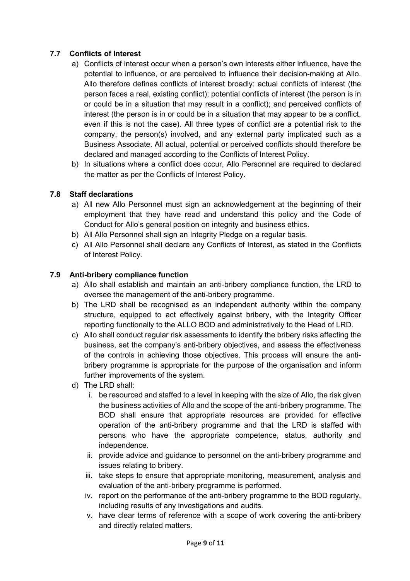#### **7.7 Conflicts of Interest**

- a) Conflicts of interest occur when a person's own interests either influence, have the potential to influence, or are perceived to influence their decision-making at Allo. Allo therefore defines conflicts of interest broadly: actual conflicts of interest (the person faces a real, existing conflict); potential conflicts of interest (the person is in or could be in a situation that may result in a conflict); and perceived conflicts of interest (the person is in or could be in a situation that may appear to be a conflict, even if this is not the case). All three types of conflict are a potential risk to the company, the person(s) involved, and any external party implicated such as a Business Associate. All actual, potential or perceived conflicts should therefore be declared and managed according to the Conflicts of Interest Policy.
- b) In situations where a conflict does occur, Allo Personnel are required to declared the matter as per the Conflicts of Interest Policy.

#### **7.8 Staff declarations**

- a) All new Allo Personnel must sign an acknowledgement at the beginning of their employment that they have read and understand this policy and the Code of Conduct for Allo's general position on integrity and business ethics.
- b) All Allo Personnel shall sign an Integrity Pledge on a regular basis.
- c) All Allo Personnel shall declare any Conflicts of Interest, as stated in the Conflicts of Interest Policy.

#### **7.9 Anti-bribery compliance function**

- a) Allo shall establish and maintain an anti-bribery compliance function, the LRD to oversee the management of the anti-bribery programme.
- b) The LRD shall be recognised as an independent authority within the company structure, equipped to act effectively against bribery, with the Integrity Officer reporting functionally to the ALLO BOD and administratively to the Head of LRD.
- c) Allo shall conduct regular risk assessments to identify the bribery risks affecting the business, set the company's anti-bribery objectives, and assess the effectiveness of the controls in achieving those objectives. This process will ensure the antibribery programme is appropriate for the purpose of the organisation and inform further improvements of the system.
- d) The LRD shall:
	- i. be resourced and staffed to a level in keeping with the size of Allo, the risk given the business activities of Allo and the scope of the anti-bribery programme. The BOD shall ensure that appropriate resources are provided for effective operation of the anti-bribery programme and that the LRD is staffed with persons who have the appropriate competence, status, authority and independence.
	- ii. provide advice and guidance to personnel on the anti-bribery programme and issues relating to bribery.
	- iii. take steps to ensure that appropriate monitoring, measurement, analysis and evaluation of the anti-bribery programme is performed.
	- iv. report on the performance of the anti-bribery programme to the BOD regularly, including results of any investigations and audits.
	- v. have clear terms of reference with a scope of work covering the anti-bribery and directly related matters.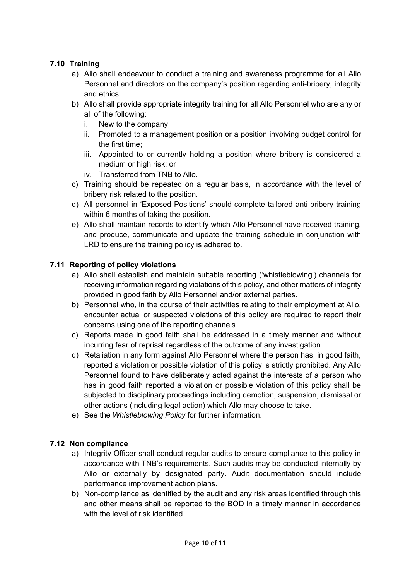#### **7.10 Training**

- a) Allo shall endeavour to conduct a training and awareness programme for all Allo Personnel and directors on the company's position regarding anti-bribery, integrity and ethics.
- b) Allo shall provide appropriate integrity training for all Allo Personnel who are any or all of the following:
	- i. New to the company;
	- ii. Promoted to a management position or a position involving budget control for the first time;
	- iii. Appointed to or currently holding a position where bribery is considered a medium or high risk; or
	- iv. Transferred from TNB to Allo.
- c) Training should be repeated on a regular basis, in accordance with the level of bribery risk related to the position.
- d) All personnel in 'Exposed Positions' should complete tailored anti-bribery training within 6 months of taking the position.
- e) Allo shall maintain records to identify which Allo Personnel have received training, and produce, communicate and update the training schedule in conjunction with LRD to ensure the training policy is adhered to.

#### **7.11 Reporting of policy violations**

- a) Allo shall establish and maintain suitable reporting ('whistleblowing') channels for receiving information regarding violations of this policy, and other matters of integrity provided in good faith by Allo Personnel and/or external parties.
- b) Personnel who, in the course of their activities relating to their employment at Allo, encounter actual or suspected violations of this policy are required to report their concerns using one of the reporting channels.
- c) Reports made in good faith shall be addressed in a timely manner and without incurring fear of reprisal regardless of the outcome of any investigation.
- d) Retaliation in any form against Allo Personnel where the person has, in good faith, reported a violation or possible violation of this policy is strictly prohibited. Any Allo Personnel found to have deliberately acted against the interests of a person who has in good faith reported a violation or possible violation of this policy shall be subjected to disciplinary proceedings including demotion, suspension, dismissal or other actions (including legal action) which Allo may choose to take.
- e) See the *Whistleblowing Policy* for further information.

#### **7.12 Non compliance**

- a) Integrity Officer shall conduct regular audits to ensure compliance to this policy in accordance with TNB's requirements. Such audits may be conducted internally by Allo or externally by designated party. Audit documentation should include performance improvement action plans.
- b) Non-compliance as identified by the audit and any risk areas identified through this and other means shall be reported to the BOD in a timely manner in accordance with the level of risk identified.